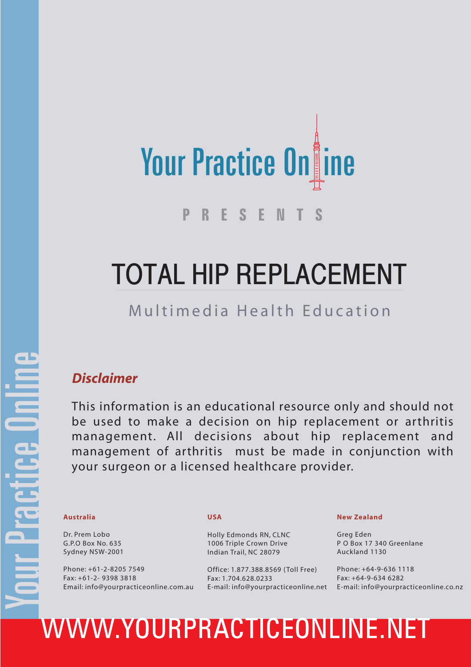

# TOTAL HIP REPLACEMENT

#### Multimedia Health Education

#### *Disclaimer*

This information is an educational resource only and should not be used to make a decision on hip replacement or arthritis management. All decisions about hip replacement and management of arthritis must be made in conjunction with your surgeon or a licensed healthcare provider.

Dr. Prem Lobo G.P.O Box No. 635 Sydney NSW-2001

Phone: +61-2-8205 7549 Fax: +61-2- 9398 3818 Email: info@yourpracticeonline.com.au

#### **USA**

Holly Edmonds RN, CLNC 1006 Triple Crown Drive Indian Trail, NC 28079

Office: 1.877.388.8569 ( Toll Free) Fax: 1.704.628.0233

#### **New Zealand**

Greg Eden P O Box 17 340 Greenlane Auckland 1130

E-mail: info@yourpracticeonline.net E-mail: info@yourpracticeonline.co.nz Phone: +64-9-636 1118 Fax: +64-9-634 6282

# Australia USA<br>
Dr. Prem Lobo<br>
G.P.O Box No. 635<br>
Sydney NSW-2001<br>
Phone: +61-2-8205 7549<br>
Phone: +61-2-8205 7549<br>
Phone: +61-2-8205 7549<br>
Phone: +61-2-8205 7549<br>
Fax: +61-2-9398 3818<br>
Fax: +61-2-9398 3818<br>
Email: info@your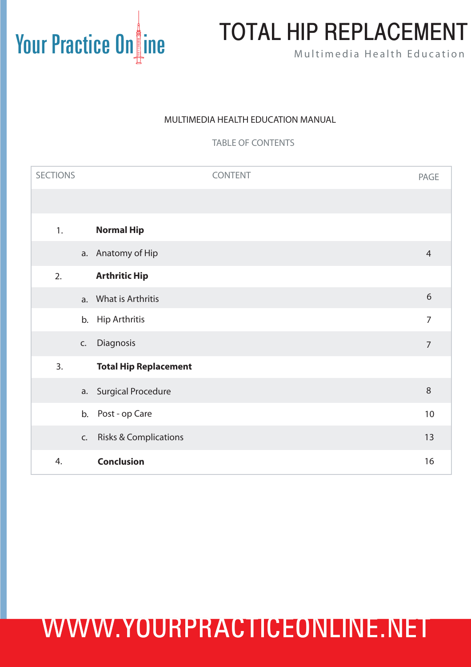#### MULTIMEDIA HEALTH EDUCATION MANUAL

TABLE OF CONTENTS

| <b>SECTIONS</b> |    | CONTENT                          | PAGE           |
|-----------------|----|----------------------------------|----------------|
|                 |    |                                  |                |
| 1.              |    | <b>Normal Hip</b>                |                |
|                 |    | a. Anatomy of Hip                | $\overline{4}$ |
| 2.              |    | <b>Arthritic Hip</b>             |                |
|                 |    | a. What is Arthritis             | 6              |
|                 | b. | <b>Hip Arthritis</b>             | $\overline{7}$ |
|                 | C. | Diagnosis                        | $\overline{7}$ |
| 3.              |    | <b>Total Hip Replacement</b>     |                |
|                 |    | a. Surgical Procedure            | $\,8\,$        |
|                 | b. | Post - op Care                   | 10             |
|                 | C. | <b>Risks &amp; Complications</b> | 13             |
| 4.              |    | <b>Conclusion</b>                | 16             |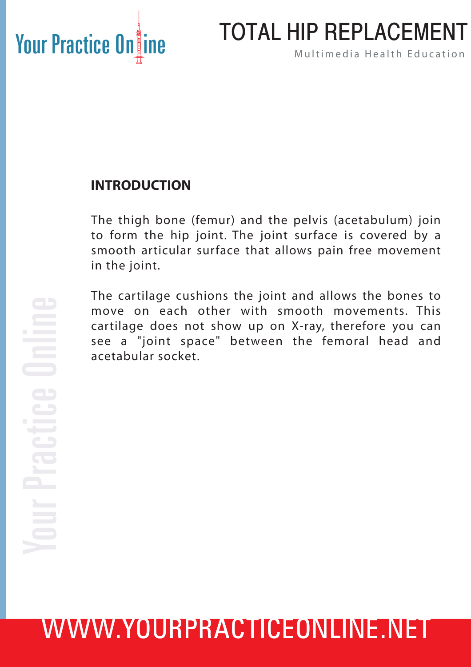### TOTAL HIP REPLACEMENT

#### **INTRODUCTION**

The thigh bone (femur) and the pelvis (acetabulum) join to form the hip joint. The joint surface is covered by a smooth articular surface that allows pain free movement in the joint.

The cartilage cushions the joint and allows the bones to move on each other with smooth movements. This cartilage does not show up on X-ray, therefore you can see a "joint space" between the femoral head and acetabular socket.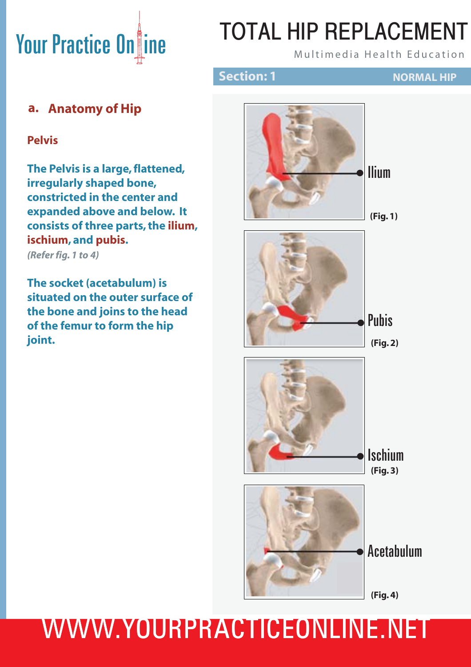# TOTAL HIP REPLACEMENT

#### **Section: 1 NORMAL HIP**

#### **a. Anatomy of Hip**

#### **Pelvis**

**The Pelvis is a large, flattened, irregularly shaped bone, constricted in the center and expanded above and below. It consists of three parts, the ilium, ischium, and pubis.**

*(Refer fig. 1 to 4)*

**The socket (acetabulum) is situated on the outer surface of the bone and joins to the head of the femur to form the hip joint.**



**(Fig. 4)**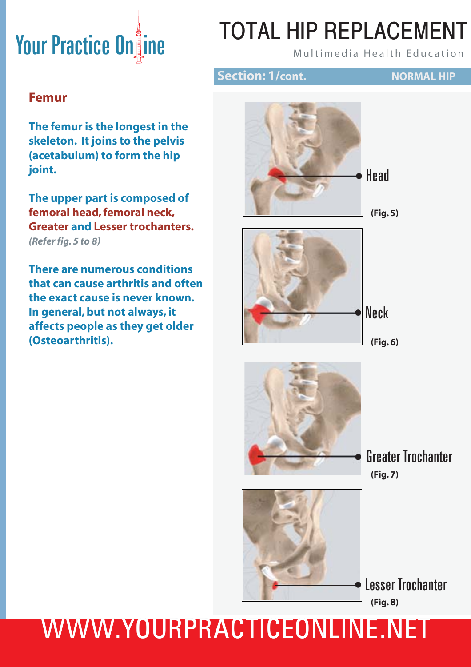# TOTAL HIP REPLACEMENT

#### **Section: 1/cont. NORMAL HIP**

#### **Femur**

**The femur is the longest in the skeleton. It joins to the pelvis (acetabulum) to form the hip joint.** 

**The upper part is composed of femoral head, femoral neck, Greater and Lesser trochanters.** *(Refer fig. 5 to 8)*

**There are numerous conditions that can cause arthritis and often the exact cause is never known. In general, but not always, it affects people as they get older (Osteoarthritis).**





**(Fig. 5)**



**(Fig. 6)**





Greater Trochanter • **(Fig. 7)**

**(Fig. 8)** •Lesser Trochanter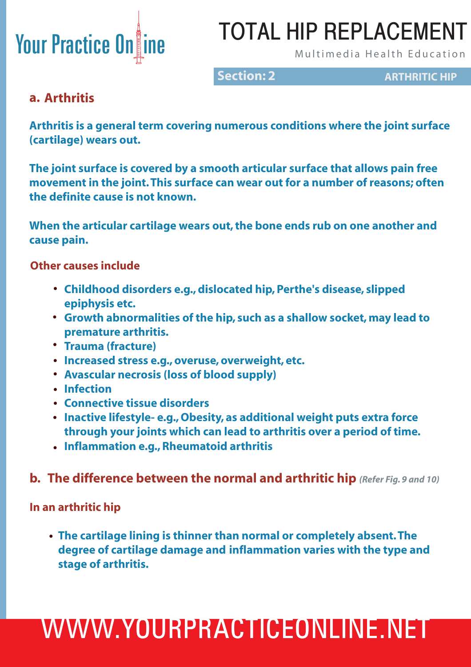# TOTAL HIP REPLACEMENT

**Section: 2 ARTHRITIC HIP** 

#### **a. Arthritis**

**Arthritis is a general term covering numerous conditions where the joint surface (cartilage) wears out.** 

**The joint surface is covered by a smooth articular surface that allows pain free movement in the joint. This surface can wear out for a number of reasons; often the definite cause is not known.** 

**When the articular cartilage wears out, the bone ends rub on one another and cause pain.** 

 **Other causes include**

- **Childhood disorders e.g., dislocated hip, Perthe's disease, slipped • epiphysis etc.**
- **Growth abnormalities of the hip, such as a shallow socket, may lead to • premature arthritis.**
- **Trauma (fracture) •**
- **Increased stress e.g., overuse, overweight, etc. •**
- **Avascular necrosis (loss of blood supply) •**
- **Infection •**
- **Connective tissue disorders •**
- **Inactive lifestyle- e.g., Obesity, as additional weight puts extra force • through your joints which can lead to arthritis over a period of time.**
- **Inflammation e.g., Rheumatoid arthritis •**

#### **b. The difference between the normal and arthritic hip** *(Refer Fig. 9 and 10)*

**In an arthritic hip**

 **The cartilage lining is thinner than normal or completely absent. The • degree of cartilage damage and inflammation varies with the type and stage of arthritis.**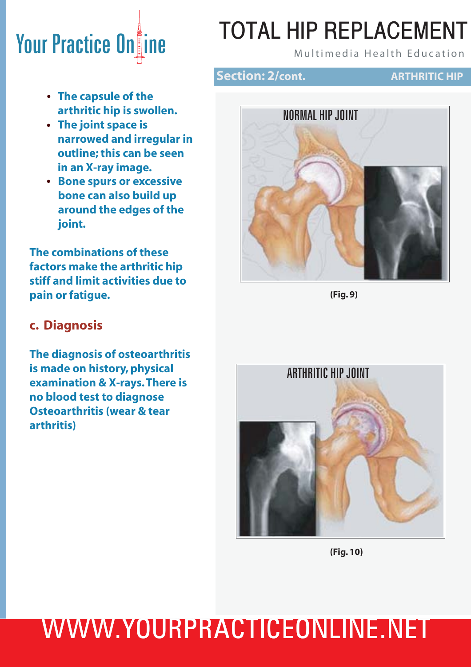# TOTAL HIP REPLACEMENT

#### **Section: 2/cont. ARTHRITIC HIP**

- **The capsule of the • arthritic hip is swollen.**
- **The joint space is • narrowed and irregular in outline; this can be seen in an X-ray image.**
- **Bone spurs or excessive • bone can also build up around the edges of the joint.**

**The combinations of these factors make the arthritic hip stiff and limit activities due to pain or fatigue.** 

#### **c. Diagnosis**

**The diagnosis of osteoarthritis is made on history, physical examination & X-rays. There is no blood test to diagnose Osteoarthritis (wear & tear arthritis)**



**(Fig. 9)**



**(Fig. 10)**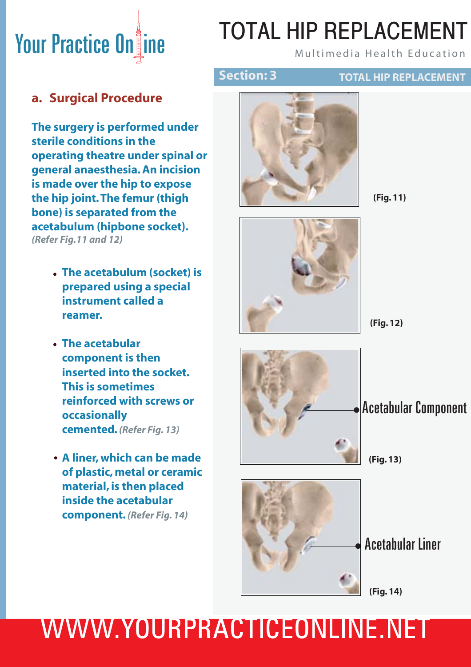# TOTAL HIP REPLACEMENT

**TOTAL HIP REPLACEMENT**

#### **a. Surgical Procedure**

**The surgery is performed under sterile conditions in the operating theatre under spinal or general anaesthesia. An incision is made over the hip to expose the hip joint. The femur (thigh bone) is separated from the acetabulum (hipbone socket).** *(Refer Fig.11 and 12)*

- **The acetabulum (socket) is • prepared using a special instrument called a reamer.**
- **The acetabular • component is then inserted into the socket. This is sometimes reinforced with screws or occasionally cemented.** *(Refer Fig. 13)*
- **A liner, which can be made • of plastic, metal or ceramic material, is then placed inside the acetabular component.** *(Refer Fig. 14)*



**Section: 3**



**(Fig. 11)**

**(Fig. 12)**



•Acetabular Component

#### **(Fig. 13)**



•Acetabular Liner

**(Fig. 14)**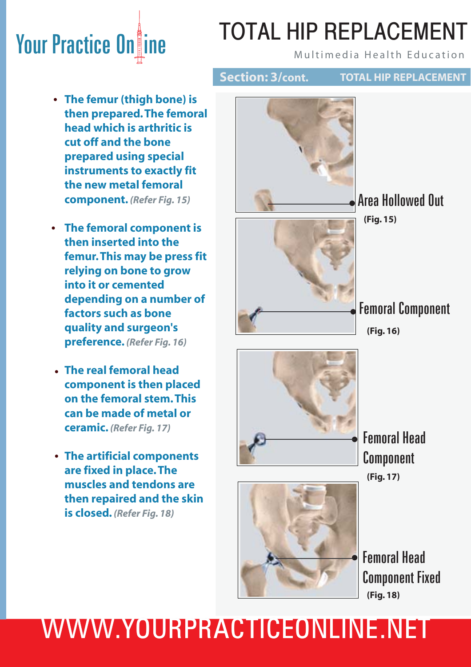# **Your Practice On ine Action AL HIP REPLACEMENT**

# TOTAL HIP REPLACEMENT

**Section: 3/cont. TOTAL HIP REPLACEMENT**

- **The femur (thigh bone) is • then prepared. The femoral head which is arthritic is cut off and the bone prepared using special instruments to exactly fit the new metal femoral component.** *(Refer Fig. 15)*
- **The femoral component is • then inserted into the femur. This may be press fit relying on bone to grow into it or cemented depending on a number of factors such as bone quality and surgeon's preference.** *(Refer Fig. 16)*
- **The real femoral head • component is then placed on the femoral stem. This can be made of metal or ceramic.** *(Refer Fig. 17)*
- **The artificial components • are fixed in place. The muscles and tendons are then repaired and the skin is closed.** *(Refer Fig. 18)*



•Area Hollowed Out **(Fig. 15)**

**Femoral Component** 





•Femoral Head Component Fixed **(Fig. 18)**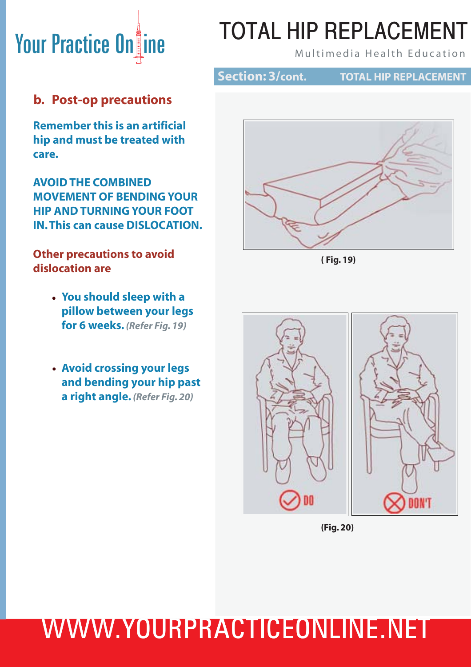# TOTAL HIP REPLACEMENT

**Section: 3/cont.**

**TOTAL HIP REPLACEMENT**

#### **b. Post-op precautions**

**Remember this is an artificial hip and must be treated with care.**

**AVOID THE COMBINED MOVEMENT OF BENDING YOUR HIP AND TURNING YOUR FOOT IN. This can cause DISLOCATION.** 

#### **Other precautions to avoid dislocation are**

- **You should sleep with a • pillow between your legs for 6 weeks.** *(Refer Fig. 19)*
- **Avoid crossing your legs • and bending your hip past a right angle.** *(Refer Fig. 20)*



**( Fig. 19)**



**(Fig. 20)**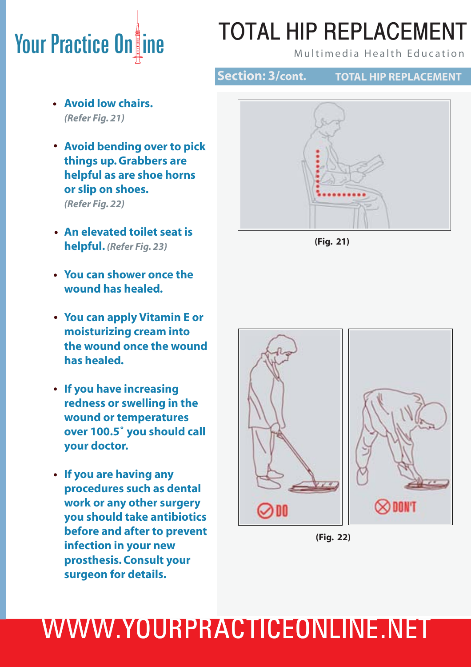# TOTAL HIP REPLACEMENT

**Section: 3/cont.**

**TOTAL HIP REPLACEMENT**

- **Avoid low chairs. •** *(Refer Fig. 21)*
- **Avoid bending over to pick • things up. Grabbers are helpful as are shoe horns or slip on shoes.**  *(Refer Fig. 22)*
- **An elevated toilet seat is • helpful.** *(Refer Fig. 23)*
- **You can shower once the • wound has healed.**
- **You can apply Vitamin E or • moisturizing cream into the wound once the wound has healed.**
- **If you have increasing • redness or swelling in the wound or temperatures over 100.5˚ you should call your doctor.**
- **If you are having any • procedures such as dental work or any other surgery you should take antibiotics before and after to prevent infection in your new prosthesis. Consult your surgeon for details.**







**(Fig. 22)**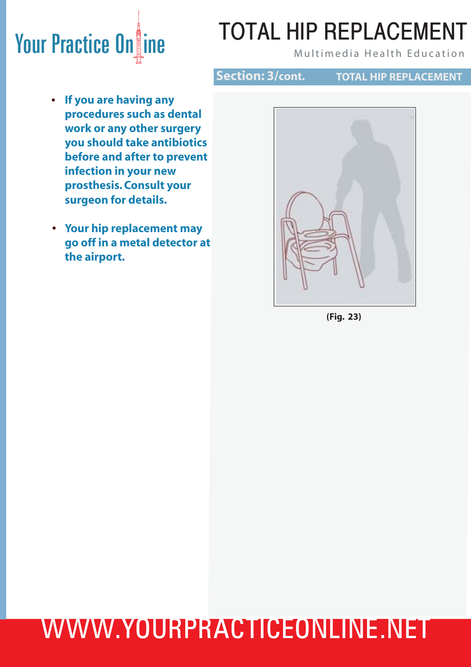### TOTAL HIP REPLACEMENT

**Section: 3/cont.**

**TOTAL HIP REPLACEMENT**

- **If you are having any procedures such as dental work or any other surgery you should take antibiotics before and after to prevent infection in your new prosthesis. Consult your surgeon for details. •**
- **Your hip replacement may • go off in a metal detector at the airport.**



**(Fig. 23)**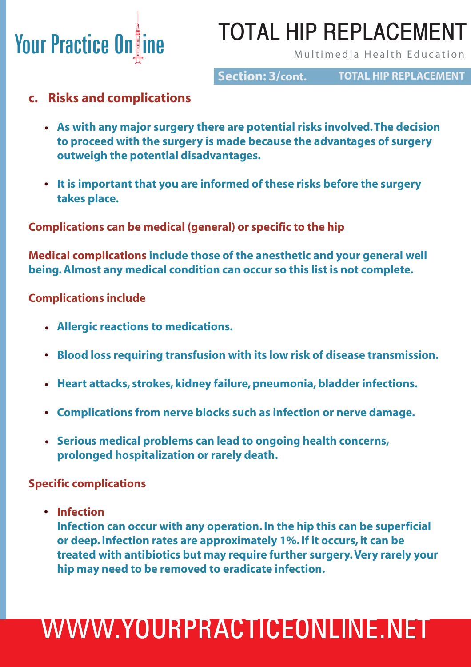### TOTAL HIP REPLACEMENT

**Section: 3/cont.**

**TOTAL HIP REPLACEMENT**

#### **c. Risks and complications**

- **As with any major surgery there are potential risks involved. The decision • to proceed with the surgery is made because the advantages of surgery outweigh the potential disadvantages.**
- **It is important that you are informed of these risks before the surgery • takes place.**

**Complications can be medical (general) or specific to the hip**

**Medical complications include those of the anesthetic and your general well being. Almost any medical condition can occur so this list is not complete.** 

#### **Complications include**

- **Allergic reactions to medications. •**
- **Blood loss requiring transfusion with its low risk of disease transmission. •**
- **Heart attacks, strokes, kidney failure, pneumonia, bladder infections. •**
- **Complications from nerve blocks such as infection or nerve damage. •**
- **Serious medical problems can lead to ongoing health concerns, • prolonged hospitalization or rarely death.**

#### **Specific complications**

 **Infection •**

 **Infection can occur with any operation. In the hip this can be superficial or deep. Infection rates are approximately 1%. If it occurs, it can be treated with antibiotics but may require further surgery. Very rarely your hip may need to be removed to eradicate infection.**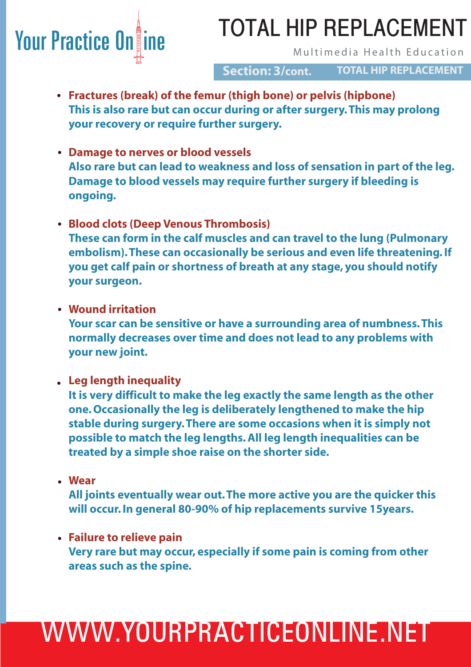### **Your Practice On ine Section And TWIAL THE NET LAUENTERT** TOTAL HIP REPLACEMENT

#### **TOTAL HIP REPLACEMENT Section: 3/cont.**

- **Fractures (break) of the femur (thigh bone) or pelvis (hipbone) • This is also rare but can occur during or after surgery. This may prolong your recovery or require further surgery.**
- **Damage to nerves or blood vessels • Also rare but can lead to weakness and loss of sensation in part of the leg. Damage to blood vessels may require further surgery if bleeding is ongoing.**
- **Blood clots (Deep Venous Thrombosis) • These can form in the calf muscles and can travel to the lung (Pulmonary embolism). These can occasionally be serious and even life threatening. If you get calf pain or shortness of breath at any stage, you should notify your surgeon.**
- **Wound irritation •**

 **Your scar can be sensitive or have a surrounding area of numbness. This normally decreases over time and does not lead to any problems with your new joint.** 

 **Leg length inequality •**

 **It is very difficult to make the leg exactly the same length as the other one. Occasionally the leg is deliberately lengthened to make the hip stable during surgery. There are some occasions when it is simply not possible to match the leg lengths. All leg length inequalities can be treated by a simple shoe raise on the shorter side.**

 **Wear •**

 **All joints eventually wear out. The more active you are the quicker this will occur. In general 80-90% of hip replacements survive 15years.** 

 **Failure to relieve pain • Very rare but may occur, especially if some pain is coming from other areas such as the spine.** 

# WWW.YOURPRACTICEONLINE.NET WWW.YOURPRACTICEONLINE.NET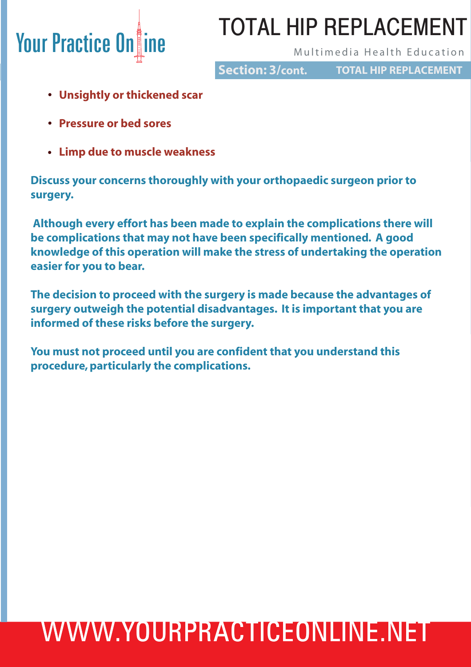### TOTAL HIP REPLACEMENT

**Section: 3/cont.**

**TOTAL HIP REPLACEMENT**

- **Unsightly or thickened scar •**
- **Pressure or bed sores •**
- **Limp due to muscle weakness •**

**Discuss your concerns thoroughly with your orthopaedic surgeon prior to surgery.** 

 **Although every effort has been made to explain the complications there will be complications that may not have been specifically mentioned. A good knowledge of this operation will make the stress of undertaking the operation easier for you to bear.**

**The decision to proceed with the surgery is made because the advantages of surgery outweigh the potential disadvantages. It is important that you are informed of these risks before the surgery.**

**You must not proceed until you are confident that you understand this procedure, particularly the complications.**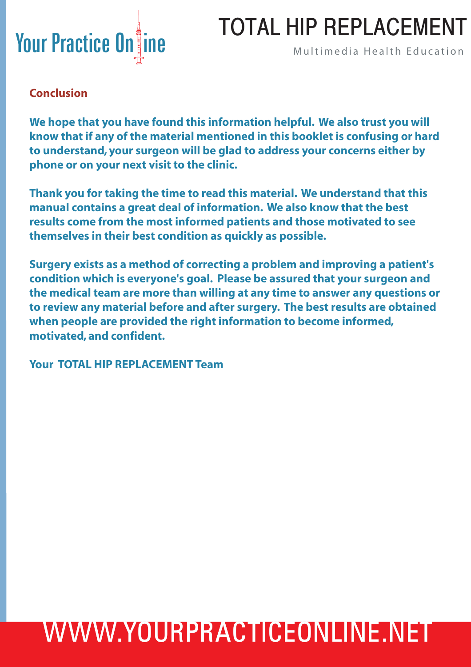

### TOTAL HIP REPLACEMENT

#### **Conclusion**

**We hope that you have found this information helpful. We also trust you will know that if any of the material mentioned in this booklet is confusing or hard to understand, your surgeon will be glad to address your concerns either by phone or on your next visit to the clinic.**

**Thank you for taking the time to read this material. We understand that this manual contains a great deal of information. We also know that the best results come from the most informed patients and those motivated to see themselves in their best condition as quickly as possible.**

**Surgery exists as a method of correcting a problem and improving a patient's condition which is everyone's goal. Please be assured that your surgeon and the medical team are more than willing at any time to answer any questions or to review any material before and after surgery. The best results are obtained when people are provided the right information to become informed, motivated, and confident.**

**Your TOTAL HIP REPLACEMENT Team**